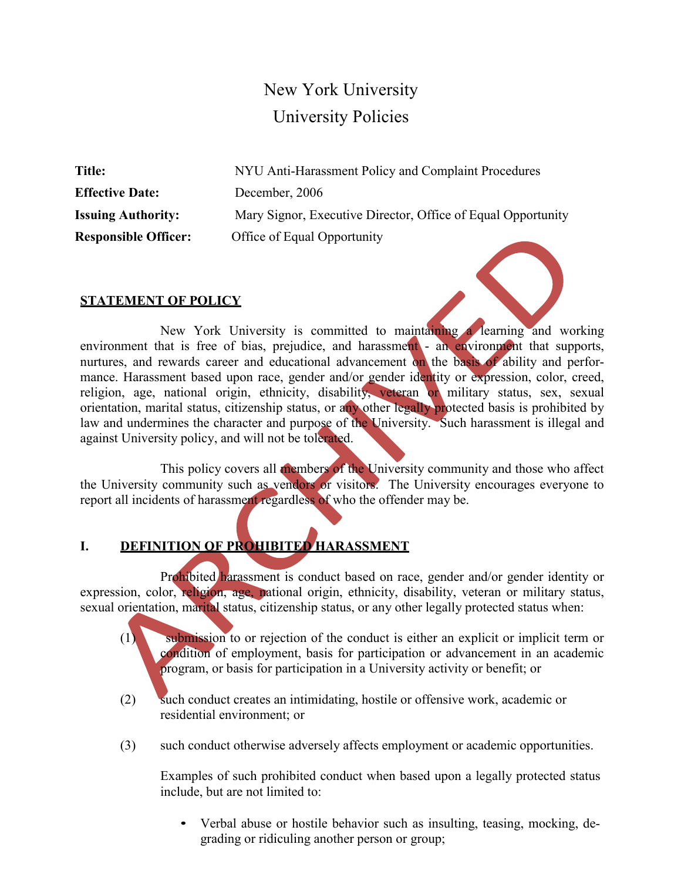# New York University University Policies

**Effective Date:** December, 2006

**Title:** NYU Anti-Harassment Policy and Complaint Procedures **Issuing Authority:** Mary Signor, Executive Director, Office of Equal Opportunity **Responsible Officer:** Office of Equal Opportunity

### **STATEMENT OF POLICY**



This policy covers all members of the University community and those who affect the University community such as vendors or visitors. The University encourages everyone to report all incidents of harassment regardless of who the offender may be.

### **I. DEFINITION OF PROHIBITED HARASSMENT**

Prohibited harassment is conduct based on race, gender and/or gender identity or expression, color, religion, age, national origin, ethnicity, disability, veteran or military status, sexual orientation, marital status, citizenship status, or any other legally protected status when:

- (1) submission to or rejection of the conduct is either an explicit or implicit term or condition of employment, basis for participation or advancement in an academic program, or basis for participation in a University activity or benefit; or
- (2) such conduct creates an intimidating, hostile or offensive work, academic or residential environment; or
- (3) such conduct otherwise adversely affects employment or academic opportunities.

Examples of such prohibited conduct when based upon a legally protected status include, but are not limited to:

• Verbal abuse or hostile behavior such as insulting, teasing, mocking, degrading or ridiculing another person or group;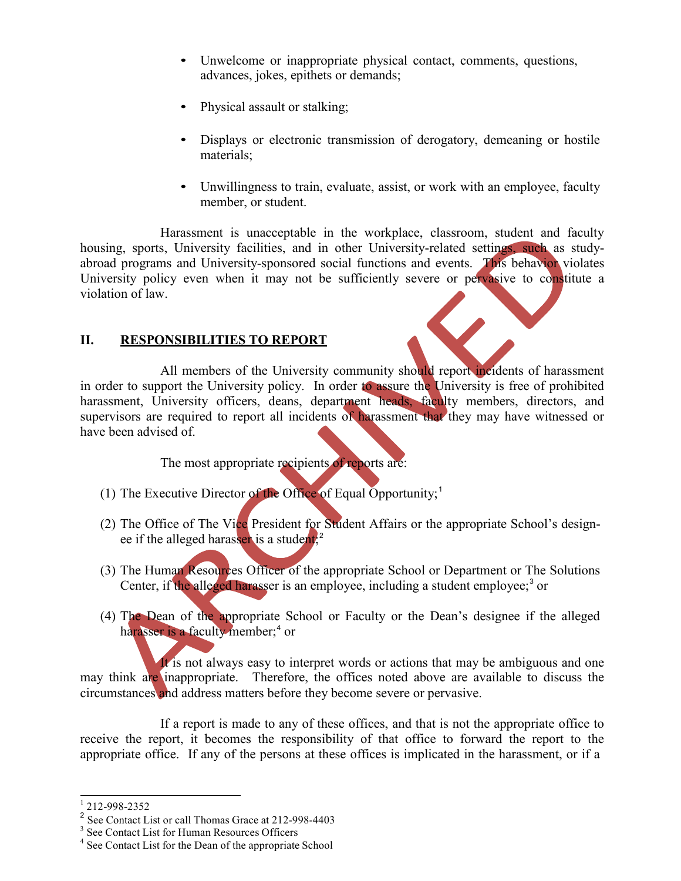- Unwelcome or inappropriate physical contact, comments, questions, advances, jokes, epithets or demands;
- Physical assault or stalking;
- Displays or electronic transmission of derogatory, demeaning or hostile materials;
- Unwillingness to train, evaluate, assist, or work with an employee, faculty member, or student.

Harassment is unacceptable in the workplace, classroom, student and faculty housing, sports, University facilities, and in other University-related settings, such as studyabroad programs and University-sponsored social functions and events. This behavior violates University policy even when it may not be sufficiently severe or pervasive to constitute a violation of law.

### **II. RESPONSIBILITIES TO REPORT**

All members of the University community should report incidents of harassment in order to support the University policy. In order to assure the University is free of prohibited harassment, University officers, deans, department heads, faculty members, directors, and supervisors are required to report all incidents of harassment that they may have witnessed or have been advised of.

The most appropriate recipients of reports are:

- (1) The Executive Director of the Office of Equal Opportunity;<sup>1</sup>
- (2) The Office of The Vice President for Student Affairs or the appropriate School's designee if the alleged harasser is a student,<sup>2</sup>
- (3) The Human Resources Officer of the appropriate School or Department or The Solutions Center, if the alleged harasser is an employee, including a student employee;<sup>3</sup> or
- (4) The Dean of the appropriate School or Faculty or the Dean's designee if the alleged harasser is a faculty member; <sup>4</sup> or

It is not always easy to interpret words or actions that may be ambiguous and one may think are inappropriate. Therefore, the offices noted above are available to discuss the circumstances and address matters before they become severe or pervasive.

If a report is made to any of these offices, and that is not the appropriate office to receive the report, it becomes the responsibility of that office to forward the report to the appropriate office. If any of the persons at these offices is implicated in the harassment, or if a

 $\frac{1}{2}$  212-998-2352<br> $\frac{2}{3}$  See Contact List or call Thomas Grace at 212-998-4403

<sup>&</sup>lt;sup>3</sup> See Contact List for Human Resources Officers  $4$  See Contact List for the Dean of the appropriate School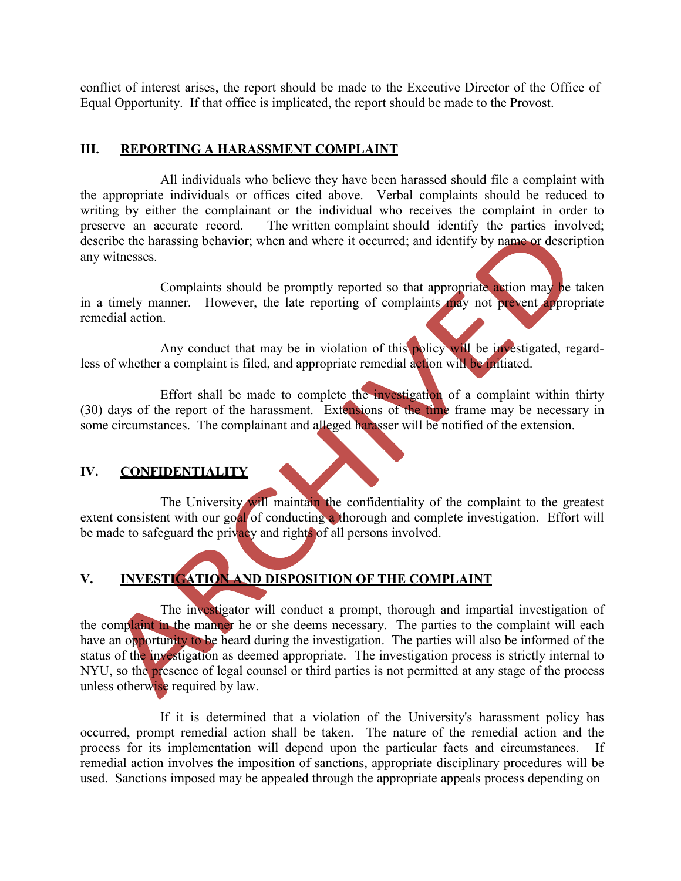conflict of interest arises, the report should be made to the Executive Director of the Office of Equal Opportunity. If that office is implicated, the report should be made to the Provost.

#### **III. REPORTING A HARASSMENT COMPLAINT**

All individuals who believe they have been harassed should file a complaint with the appropriate individuals or offices cited above. Verbal complaints should be reduced to writing by either the complainant or the individual who receives the complaint in order to preserve an accurate record. The written complaint should identify the parties involved; describe the harassing behavior; when and where it occurred; and identify by name or description any witnesses.

Complaints should be promptly reported so that appropriate action may be taken in a timely manner. However, the late reporting of complaints may not prevent appropriate remedial action.

Any conduct that may be in violation of this policy will be investigated, regardless of whether a complaint is filed, and appropriate remedial action will be initiated.

Effort shall be made to complete the investigation of a complaint within thirty (30) days of the report of the harassment. Extensions of the time frame may be necessary in some circumstances. The complainant and alleged harasser will be notified of the extension.

### **IV. CONFIDENTIALITY**

The University will maintain the confidentiality of the complaint to the greatest extent consistent with our goal of conducting a thorough and complete investigation. Effort will be made to safeguard the privacy and rights of all persons involved.

# **V. INVESTIGATION AND DISPOSITION OF THE COMPLAINT**

The investigator will conduct a prompt, thorough and impartial investigation of the complaint in the manner he or she deems necessary. The parties to the complaint will each have an opportunity to be heard during the investigation. The parties will also be informed of the status of the investigation as deemed appropriate. The investigation process is strictly internal to NYU, so the presence of legal counsel or third parties is not permitted at any stage of the process unless otherwise required by law.

If it is determined that a violation of the University's harassment policy has occurred, prompt remedial action shall be taken. The nature of the remedial action and the process for its implementation will depend upon the particular facts and circumstances. If remedial action involves the imposition of sanctions, appropriate disciplinary procedures will be used. Sanctions imposed may be appealed through the appropriate appeals process depending on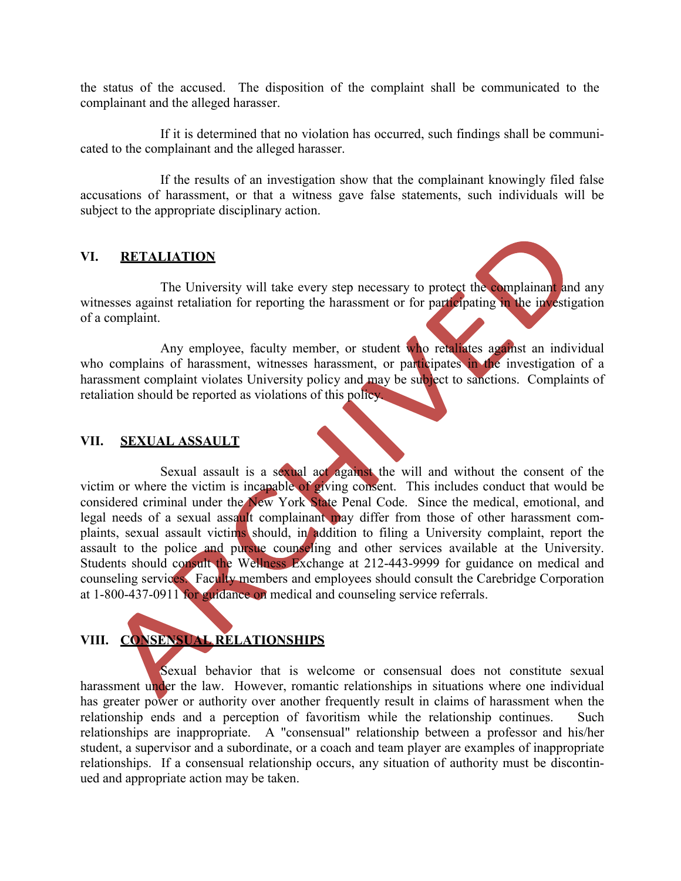the status of the accused. The disposition of the complaint shall be communicated to the complainant and the alleged harasser.

If it is determined that no violation has occurred, such findings shall be communicated to the complainant and the alleged harasser.

If the results of an investigation show that the complainant knowingly filed false accusations of harassment, or that a witness gave false statements, such individuals will be subject to the appropriate disciplinary action.

### **VI. RETALIATION**

The University will take every step necessary to protect the complainant and any witnesses against retaliation for reporting the harassment or for participating in the investigation of a complaint.

Any employee, faculty member, or student who retaliates against an individual who complains of harassment, witnesses harassment, or participates in the investigation of a harassment complaint violates University policy and may be subject to sanctions. Complaints of retaliation should be reported as violations of this policy.

### **VII. SEXUAL ASSAULT**

Sexual assault is a sexual act against the will and without the consent of the victim or where the victim is incapable of giving consent. This includes conduct that would be considered criminal under the New York State Penal Code. Since the medical, emotional, and legal needs of a sexual assault complainant may differ from those of other harassment complaints, sexual assault victims should, in addition to filing a University complaint, report the assault to the police and pursue counseling and other services available at the University. Students should consult the Wellness Exchange at 212-443-9999 for guidance on medical and counseling services. Faculty members and employees should consult the Carebridge Corporation at 1-800-437-0911 for guidance on medical and counseling service referrals.

## **VIII. CONSENSUAL RELATIONSHIPS**

Sexual behavior that is welcome or consensual does not constitute sexual harassment under the law. However, romantic relationships in situations where one individual has greater power or authority over another frequently result in claims of harassment when the relationship ends and a perception of favoritism while the relationship continues. Such relationships are inappropriate. A "consensual" relationship between a professor and his/her student, a supervisor and a subordinate, or a coach and team player are examples of inappropriate relationships. If a consensual relationship occurs, any situation of authority must be discontinued and appropriate action may be taken.